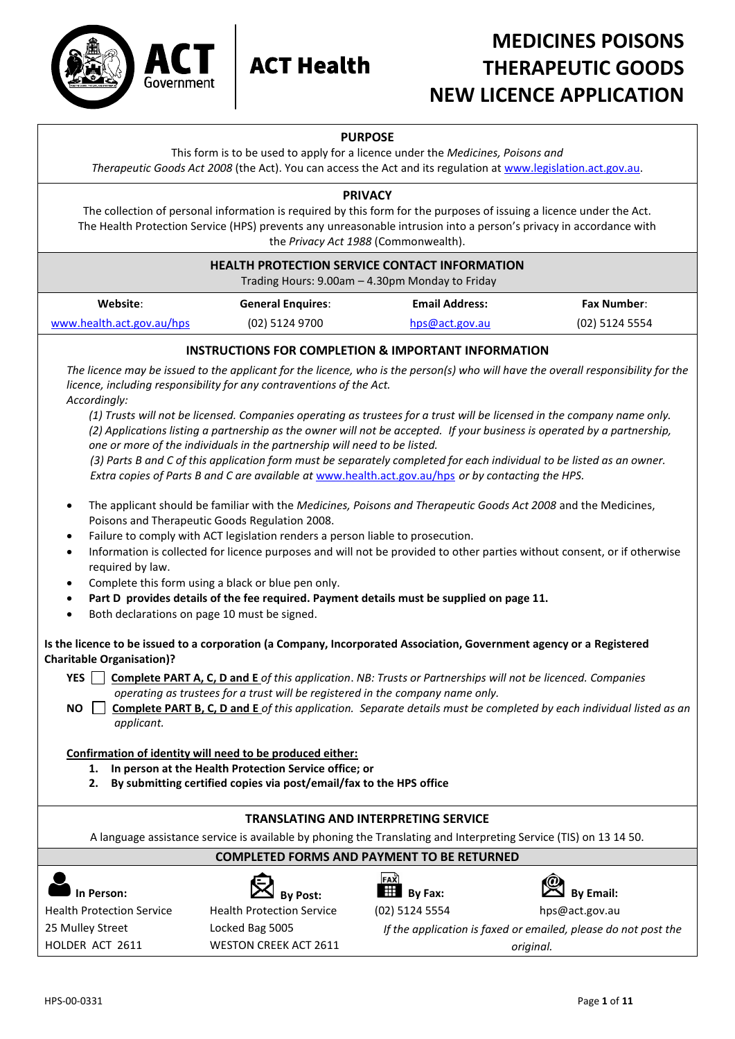



# **MEDICINES POISONS THERAPEUTIC GOODS NEW LICENCE APPLICATION**

# **PURPOSE**

This form is to be used to apply for a licence under the *Medicines, Poisons and Therapeutic Goods Act 2008* (the Act). You can access the Act and its regulation a[t www.legislation.act.gov.au.](http://www.legislation.act.gov.au/)

## **PRIVACY**

The collection of personal information is required by this form for the purposes of issuing a licence under the Act. The Health Protection Service (HPS) prevents any unreasonable intrusion into a person's privacy in accordance with the *Privacy Act 1988* (Commonwealth).

#### **HEALTH PROTECTION SERVICE CONTACT INFORMATION**

Trading Hours: 9.00am – 4.30pm Monday to Friday

| Website:                  | <b>General Enguires:</b> | <b>Email Address:</b> | <b>Fax Number:</b> |
|---------------------------|--------------------------|-----------------------|--------------------|
| www.health.act.gov.au/hps | (02) 5124 9700           | hps@act.gov.au        | (02) 5124 5554     |

# **INSTRUCTIONS FOR COMPLETION & IMPORTANT INFORMATION**

*The licence may be issued to the applicant for the licence, who is the person(s) who will have the overall responsibility for the licence, including responsibility for any contraventions of the Act. Accordingly:* 

*(1) Trusts will not be licensed. Companies operating as trustees for a trust will be licensed in the company name only. (2) Applications listing a partnership as the owner will not be accepted. If your business is operated by a partnership, one or more of the individuals in the partnership will need to be listed.* 

*(3) Parts B and C of this application form must be separately completed for each individual to be listed as an owner. Extra copies of Parts B and C are available at* [www.health.act.gov.au/hps](http://www.health.act.gov.au/hps) *or by contacting the HPS.*

- The applicant should be familiar with the *Medicines, Poisons and Therapeutic Goods Act 2008* and the Medicines, Poisons and Therapeutic Goods Regulation 2008.
- Failure to comply with ACT legislation renders a person liable to prosecution.
- Information is collected for licence purposes and will not be provided to other parties without consent, or if otherwise required by law.
- Complete this form using a black or blue pen only.
- **Part D provides details of the fee required. Payment details must be supplied on page 11.**
- Both declarations on page 10 must be signed.

# **Is the licence to be issued to a corporation (a Company, Incorporated Association, Government agency or a Registered Charitable Organisation)?**

YES **Complete PART A, C, D and E** *of this application. NB: Trusts or Partnerships will not be licenced. Companies operating as trustees for a trust will be registered in the company name only.*

**NO Complete PART B, C, D and E** *of this application. Separate details must be completed by each individual listed as an applicant.*

## **Confirmation of identity will need to be produced either:**

- **1. In person at the Health Protection Service office; or**
- **2. By submitting certified copies via post/email/fax to the HPS office**

# **TRANSLATING AND INTERPRETING SERVICE**

A language assistance service is available by phoning the Translating and Interpreting Service (TIS) on 13 14 50.

# **COMPLETED FORMS AND PAYMENT TO BE RETURNED**

Health Protection Service 25 Mulley Street HOLDER ACT 2611

**In Person:**  $\mathbb{R}$  **In Person:**  $\mathbb{R}$  **By Post: By Fax: By Email: By Email: By Email:** Health Protection Service Locked Bag 5005 WESTON CREEK ACT 2611





(02) 5124 5554 hps@act.gov.au

*If the application is faxed or emailed, please do not post the original.*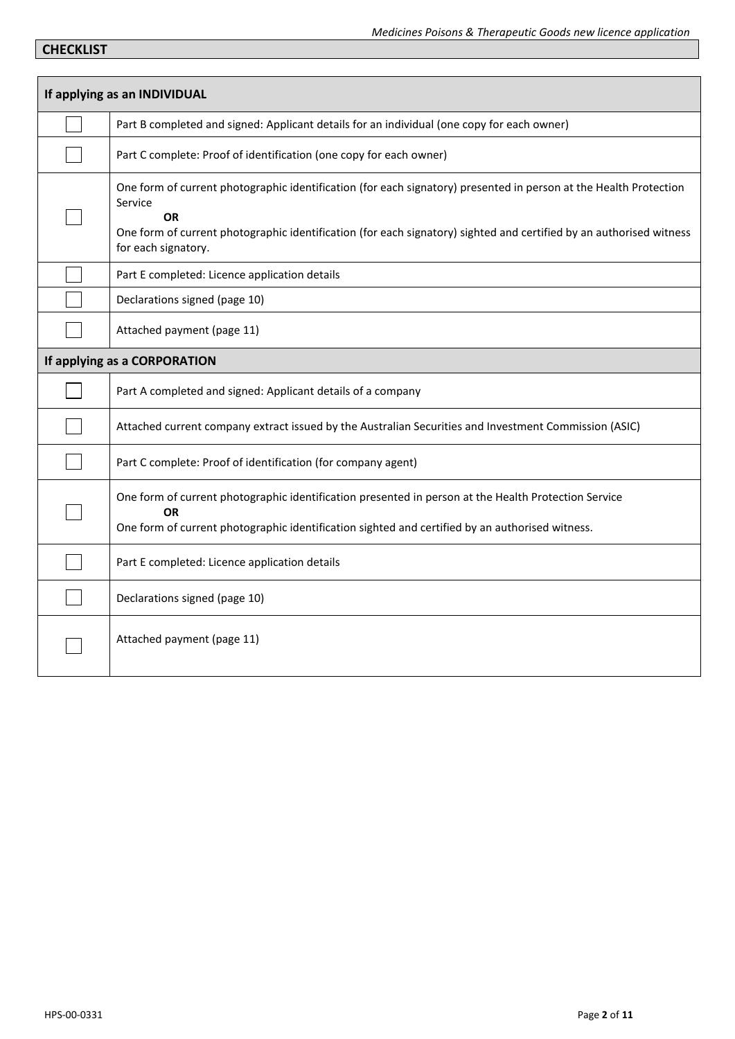# **CHECKLIST**

| If applying as an INDIVIDUAL                                                                                                                                                                                                                                                            |
|-----------------------------------------------------------------------------------------------------------------------------------------------------------------------------------------------------------------------------------------------------------------------------------------|
| Part B completed and signed: Applicant details for an individual (one copy for each owner)                                                                                                                                                                                              |
| Part C complete: Proof of identification (one copy for each owner)                                                                                                                                                                                                                      |
| One form of current photographic identification (for each signatory) presented in person at the Health Protection<br>Service<br><b>OR</b><br>One form of current photographic identification (for each signatory) sighted and certified by an authorised witness<br>for each signatory. |
| Part E completed: Licence application details                                                                                                                                                                                                                                           |
| Declarations signed (page 10)                                                                                                                                                                                                                                                           |
| Attached payment (page 11)                                                                                                                                                                                                                                                              |
| If applying as a CORPORATION                                                                                                                                                                                                                                                            |
| Part A completed and signed: Applicant details of a company                                                                                                                                                                                                                             |
| Attached current company extract issued by the Australian Securities and Investment Commission (ASIC)                                                                                                                                                                                   |
| Part C complete: Proof of identification (for company agent)                                                                                                                                                                                                                            |
| One form of current photographic identification presented in person at the Health Protection Service<br><b>OR</b><br>One form of current photographic identification sighted and certified by an authorised witness.                                                                    |
| Part E completed: Licence application details                                                                                                                                                                                                                                           |
| Declarations signed (page 10)                                                                                                                                                                                                                                                           |
| Attached payment (page 11)                                                                                                                                                                                                                                                              |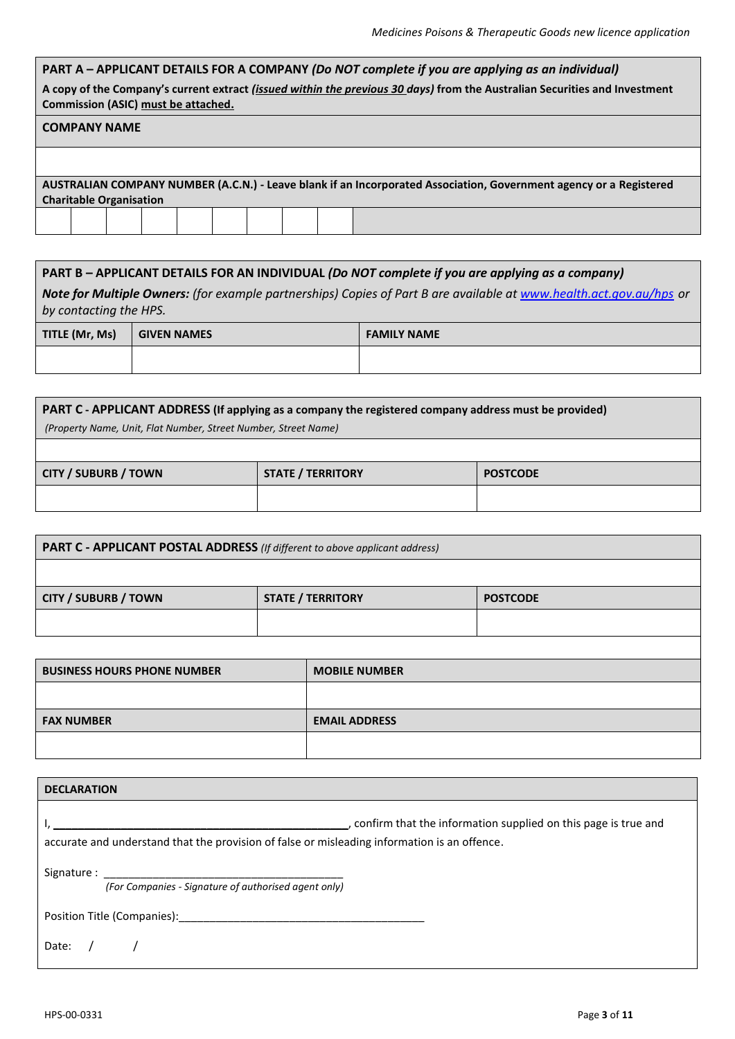| PART A - APPLICANT DETAILS FOR A COMPANY (Do NOT complete if you are applying as an individual)                                                                   |
|-------------------------------------------------------------------------------------------------------------------------------------------------------------------|
| A copy of the Company's current extract (issued within the previous 30 days) from the Australian Securities and Investment<br>Commission (ASIC) must be attached. |
| <b>COMPANY NAME</b>                                                                                                                                               |
|                                                                                                                                                                   |
| AUSTRALIAN COMPANY NUMBER (A.C.N.) - Leave blank if an Incorporated Association, Government agency or a Registered                                                |
| <b>Charitable Organisation</b>                                                                                                                                    |
|                                                                                                                                                                   |
|                                                                                                                                                                   |

| $\mid$ PART B – APPLICANT DETAILS FOR AN INDIVIDUAL (Do NOT complete if you are applying as a company) |  |                                                                                                                     |  |  |  |  |
|--------------------------------------------------------------------------------------------------------|--|---------------------------------------------------------------------------------------------------------------------|--|--|--|--|
| by contacting the HPS.                                                                                 |  | Note for Multiple Owners: (for example partnerships) Copies of Part B are available at www.health.act.gov.au/hps or |  |  |  |  |
| TITLE (Mr, Ms)<br><b>FAMILY NAME</b><br><b>GIVEN NAMES</b>                                             |  |                                                                                                                     |  |  |  |  |
|                                                                                                        |  |                                                                                                                     |  |  |  |  |

| PART C - APPLICANT ADDRESS (If applying as a company the registered company address must be provided)<br>(Property Name, Unit, Flat Number, Street Number, Street Name) |  |  |  |  |
|-------------------------------------------------------------------------------------------------------------------------------------------------------------------------|--|--|--|--|
| <b>CITY / SUBURB / TOWN</b><br><b>STATE / TERRITORY</b><br><b>POSTCODE</b>                                                                                              |  |  |  |  |
|                                                                                                                                                                         |  |  |  |  |

| <b>PART C - APPLICANT POSTAL ADDRESS</b> (If different to above applicant address) |  |                          |                 |  |
|------------------------------------------------------------------------------------|--|--------------------------|-----------------|--|
|                                                                                    |  |                          |                 |  |
| <b>CITY / SUBURB / TOWN</b>                                                        |  | <b>STATE / TERRITORY</b> | <b>POSTCODE</b> |  |
|                                                                                    |  |                          |                 |  |
|                                                                                    |  |                          |                 |  |
| <b>BUSINESS HOURS PHONE NUMBER</b>                                                 |  | <b>MOBILE NUMBER</b>     |                 |  |
|                                                                                    |  |                          |                 |  |

**FAX NUMBER EMAIL ADDRESS**

| <b>DECLARATION</b>                                                                                                                                                                                                             |                                                               |
|--------------------------------------------------------------------------------------------------------------------------------------------------------------------------------------------------------------------------------|---------------------------------------------------------------|
|                                                                                                                                                                                                                                | onfirm that the information supplied on this page is true and |
| accurate and understand that the provision of false or misleading information is an offence.                                                                                                                                   |                                                               |
|                                                                                                                                                                                                                                |                                                               |
| (For Companies - Signature of authorised agent only)                                                                                                                                                                           |                                                               |
| Position Title (Companies): Note that the contract of the contract of the contract of the contract of the contract of the contract of the contract of the contract of the contract of the contract of the contract of the cont |                                                               |
| Date:                                                                                                                                                                                                                          |                                                               |

Г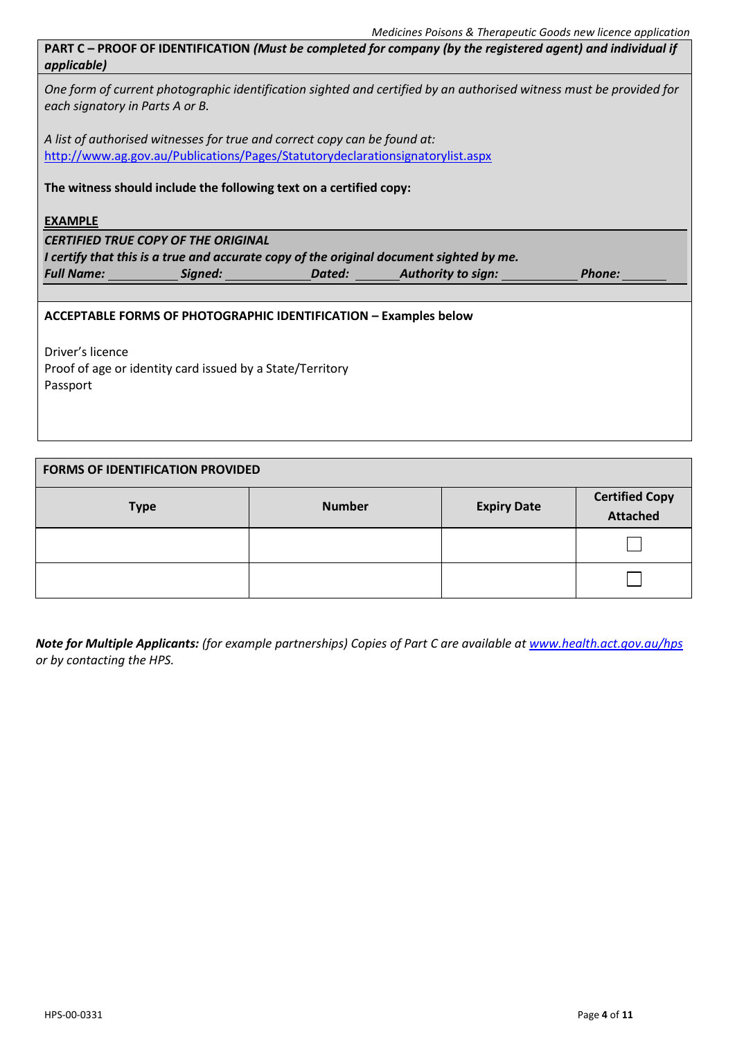**PART C – PROOF OF IDENTIFICATION** *(Must be completed for company (by the registered agent) and individual if applicable)*

*One form of current photographic identification sighted and certified by an authorised witness must be provided for each signatory in Parts A or B.*

*A list of authorised witnesses for true and correct copy can be found at:*  <http://www.ag.gov.au/Publications/Pages/Statutorydeclarationsignatorylist.aspx>

# **The witness should include the following text on a certified copy:**

**EXAMPLE**

*CERTIFIED TRUE COPY OF THE ORIGINAL I certify that this is a true and accurate copy of the original document sighted by me. Full Name: Signed: Dated: Authority to sign: Phone:*

# **ACCEPTABLE FORMS OF PHOTOGRAPHIC IDENTIFICATION – Examples below**

Driver's licence Proof of age or identity card issued by a State/Territory Passport

# **FORMS OF IDENTIFICATION PROVIDED**

| <b>Type</b> | <b>Number</b> | <b>Expiry Date</b> | <b>Certified Copy</b><br>Attached |
|-------------|---------------|--------------------|-----------------------------------|
|             |               |                    |                                   |
|             |               |                    |                                   |

*Note for Multiple Applicants: (for example partnerships) Copies of Part C are available at [www.health.act.gov.au/hps](http://www.health.act.gov.au/hps) or by contacting the HPS.*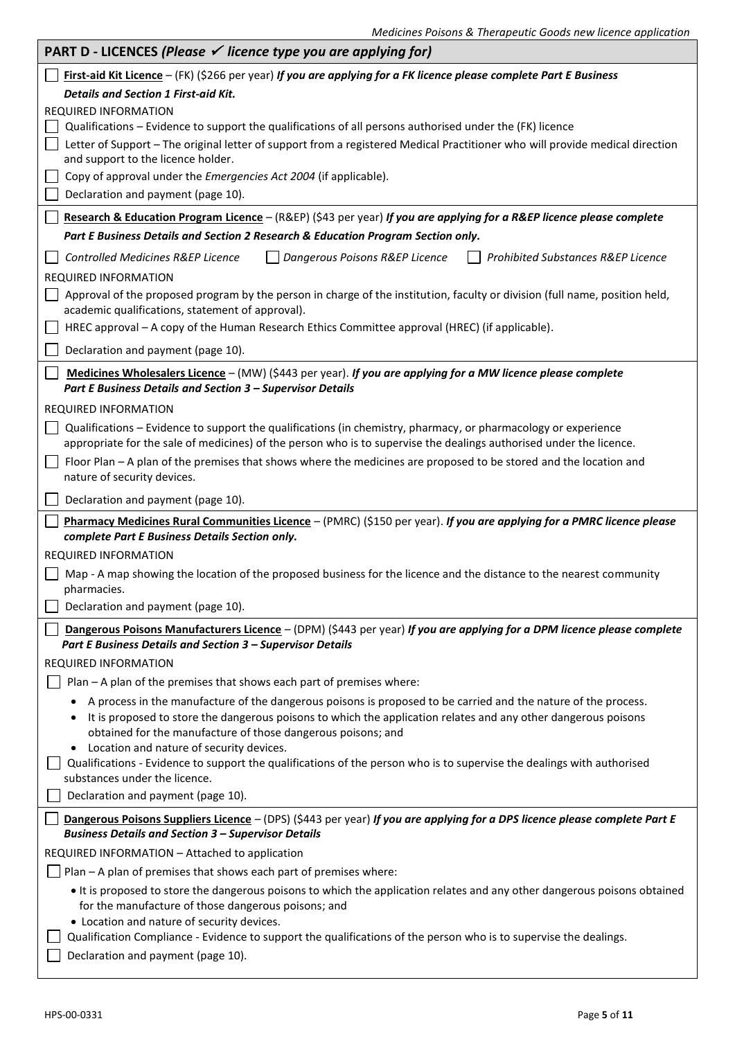| <b>PART D - LICENCES (Please <math>\checkmark</math> licence type you are applying for)</b>                                                                                                                                                                                                      |
|--------------------------------------------------------------------------------------------------------------------------------------------------------------------------------------------------------------------------------------------------------------------------------------------------|
| First-aid Kit Licence - (FK) (\$266 per year) If you are applying for a FK licence please complete Part E Business                                                                                                                                                                               |
| <b>Details and Section 1 First-aid Kit.</b>                                                                                                                                                                                                                                                      |
| <b>REQUIRED INFORMATION</b>                                                                                                                                                                                                                                                                      |
| Qualifications – Evidence to support the qualifications of all persons authorised under the (FK) licence                                                                                                                                                                                         |
| Letter of Support - The original letter of support from a registered Medical Practitioner who will provide medical direction<br>and support to the licence holder.                                                                                                                               |
| Copy of approval under the <i>Emergencies Act 2004</i> (if applicable).                                                                                                                                                                                                                          |
| Declaration and payment (page 10).                                                                                                                                                                                                                                                               |
| Research & Education Program Licence - (R&EP) (\$43 per year) If you are applying for a R&EP licence please complete                                                                                                                                                                             |
| Part E Business Details and Section 2 Research & Education Program Section only.                                                                                                                                                                                                                 |
| Controlled Medicines R&EP Licence<br>Dangerous Poisons R&EP Licence<br>Prohibited Substances R&EP Licence                                                                                                                                                                                        |
| <b>REQUIRED INFORMATION</b>                                                                                                                                                                                                                                                                      |
| Approval of the proposed program by the person in charge of the institution, faculty or division (full name, position held,<br>academic qualifications, statement of approval).                                                                                                                  |
| HREC approval - A copy of the Human Research Ethics Committee approval (HREC) (if applicable).                                                                                                                                                                                                   |
| Declaration and payment (page 10).                                                                                                                                                                                                                                                               |
| Medicines Wholesalers Licence - (MW) (\$443 per year). If you are applying for a MW licence please complete<br>Part E Business Details and Section 3 - Supervisor Details                                                                                                                        |
| <b>REQUIRED INFORMATION</b>                                                                                                                                                                                                                                                                      |
| Qualifications - Evidence to support the qualifications (in chemistry, pharmacy, or pharmacology or experience                                                                                                                                                                                   |
| appropriate for the sale of medicines) of the person who is to supervise the dealings authorised under the licence.                                                                                                                                                                              |
| Floor Plan - A plan of the premises that shows where the medicines are proposed to be stored and the location and<br>nature of security devices.                                                                                                                                                 |
| Declaration and payment (page 10).                                                                                                                                                                                                                                                               |
| Pharmacy Medicines Rural Communities Licence - (PMRC) (\$150 per year). If you are applying for a PMRC licence please                                                                                                                                                                            |
| complete Part E Business Details Section only.                                                                                                                                                                                                                                                   |
| <b>REQUIRED INFORMATION</b>                                                                                                                                                                                                                                                                      |
| Map - A map showing the location of the proposed business for the licence and the distance to the nearest community<br>pharmacies.                                                                                                                                                               |
| Declaration and payment (page 10).                                                                                                                                                                                                                                                               |
| Dangerous Poisons Manufacturers Licence - (DPM) (\$443 per year) If you are applying for a DPM licence please complete<br>Part E Business Details and Section 3 - Supervisor Details                                                                                                             |
| <b>REQUIRED INFORMATION</b>                                                                                                                                                                                                                                                                      |
| Plan - A plan of the premises that shows each part of premises where:                                                                                                                                                                                                                            |
| A process in the manufacture of the dangerous poisons is proposed to be carried and the nature of the process.<br>It is proposed to store the dangerous poisons to which the application relates and any other dangerous poisons<br>obtained for the manufacture of those dangerous poisons; and |
| Location and nature of security devices.                                                                                                                                                                                                                                                         |
| Qualifications - Evidence to support the qualifications of the person who is to supervise the dealings with authorised<br>substances under the licence.                                                                                                                                          |
| Declaration and payment (page 10).                                                                                                                                                                                                                                                               |
| Dangerous Poisons Suppliers Licence - (DPS) (\$443 per year) If you are applying for a DPS licence please complete Part E<br><b>Business Details and Section 3 - Supervisor Details</b>                                                                                                          |
| REQUIRED INFORMATION - Attached to application                                                                                                                                                                                                                                                   |
| Plan - A plan of premises that shows each part of premises where:                                                                                                                                                                                                                                |
| It is proposed to store the dangerous poisons to which the application relates and any other dangerous poisons obtained                                                                                                                                                                          |
| for the manufacture of those dangerous poisons; and                                                                                                                                                                                                                                              |
| • Location and nature of security devices.<br>Qualification Compliance - Evidence to support the qualifications of the person who is to supervise the dealings.                                                                                                                                  |
| Declaration and payment (page 10).                                                                                                                                                                                                                                                               |
|                                                                                                                                                                                                                                                                                                  |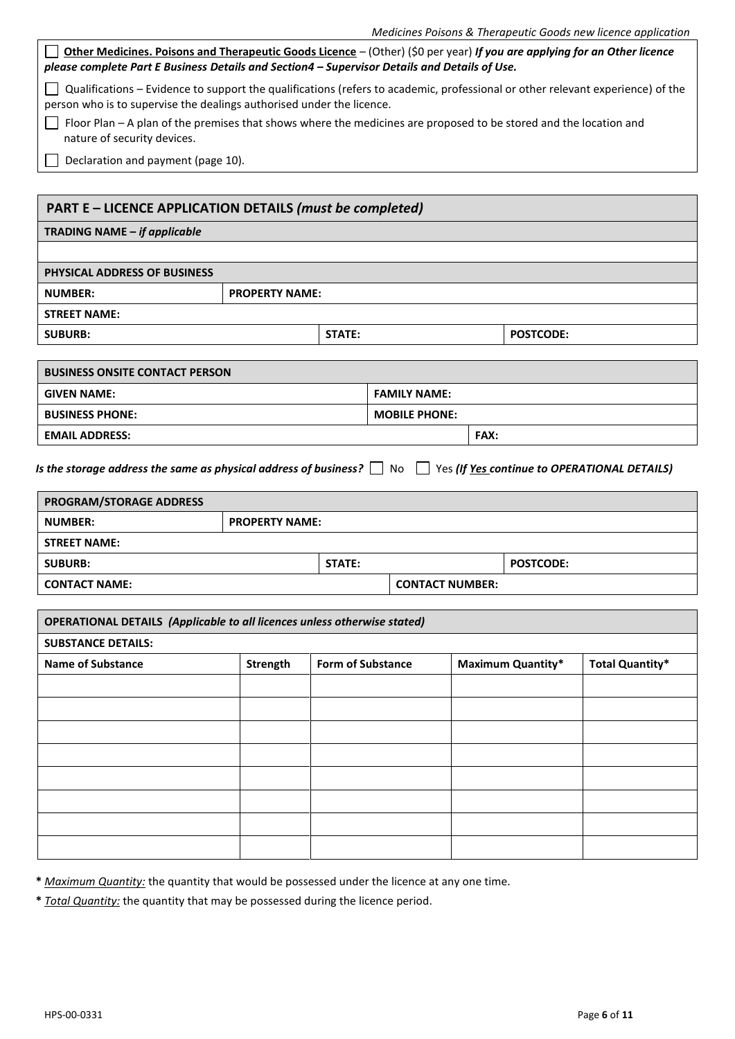| Other Medicines. Poisons and Therapeutic Goods Licence - (Other) (\$0 per year) If you are applying for an Other licence<br>please complete Part E Business Details and Section4 - Supervisor Details and Details of Use. |                       |                          | Medicines Poisons & Therapeutic Goods new licence application |  |                          |                                              |
|---------------------------------------------------------------------------------------------------------------------------------------------------------------------------------------------------------------------------|-----------------------|--------------------------|---------------------------------------------------------------|--|--------------------------|----------------------------------------------|
|                                                                                                                                                                                                                           |                       |                          |                                                               |  |                          |                                              |
| Qualifications - Evidence to support the qualifications (refers to academic, professional or other relevant experience) of the                                                                                            |                       |                          |                                                               |  |                          |                                              |
| person who is to supervise the dealings authorised under the licence.<br>Floor Plan - A plan of the premises that shows where the medicines are proposed to be stored and the location and                                |                       |                          |                                                               |  |                          |                                              |
| nature of security devices.                                                                                                                                                                                               |                       |                          |                                                               |  |                          |                                              |
| Declaration and payment (page 10).                                                                                                                                                                                        |                       |                          |                                                               |  |                          |                                              |
|                                                                                                                                                                                                                           |                       |                          |                                                               |  |                          |                                              |
| <b>PART E - LICENCE APPLICATION DETAILS (must be completed)</b>                                                                                                                                                           |                       |                          |                                                               |  |                          |                                              |
| TRADING NAME - if applicable                                                                                                                                                                                              |                       |                          |                                                               |  |                          |                                              |
| <b>PHYSICAL ADDRESS OF BUSINESS</b>                                                                                                                                                                                       |                       |                          |                                                               |  |                          |                                              |
| <b>NUMBER:</b>                                                                                                                                                                                                            | <b>PROPERTY NAME:</b> |                          |                                                               |  |                          |                                              |
| <b>STREET NAME:</b>                                                                                                                                                                                                       |                       |                          |                                                               |  |                          |                                              |
| <b>SUBURB:</b>                                                                                                                                                                                                            |                       | <b>STATE:</b>            |                                                               |  | <b>POSTCODE:</b>         |                                              |
|                                                                                                                                                                                                                           |                       |                          |                                                               |  |                          |                                              |
| <b>BUSINESS ONSITE CONTACT PERSON</b>                                                                                                                                                                                     |                       |                          |                                                               |  |                          |                                              |
| <b>GIVEN NAME:</b>                                                                                                                                                                                                        |                       |                          | <b>FAMILY NAME:</b>                                           |  |                          |                                              |
| <b>BUSINESS PHONE:</b>                                                                                                                                                                                                    |                       |                          | <b>MOBILE PHONE:</b>                                          |  |                          |                                              |
| FAX:<br><b>EMAIL ADDRESS:</b>                                                                                                                                                                                             |                       |                          |                                                               |  |                          |                                              |
| Is the storage address the same as physical address of business? $\Box$ No                                                                                                                                                |                       |                          |                                                               |  |                          | Yes (If Yes continue to OPERATIONAL DETAILS) |
| PROGRAM/STORAGE ADDRESS                                                                                                                                                                                                   |                       |                          |                                                               |  |                          |                                              |
|                                                                                                                                                                                                                           | <b>PROPERTY NAME:</b> |                          |                                                               |  |                          |                                              |
| <b>NUMBER:</b>                                                                                                                                                                                                            |                       |                          |                                                               |  |                          |                                              |
| <b>STREET NAME:</b>                                                                                                                                                                                                       |                       |                          |                                                               |  |                          |                                              |
| <b>SUBURB:</b>                                                                                                                                                                                                            |                       | <b>STATE:</b>            |                                                               |  | <b>POSTCODE:</b>         |                                              |
| <b>CONTACT NAME:</b>                                                                                                                                                                                                      |                       |                          | <b>CONTACT NUMBER:</b>                                        |  |                          |                                              |
|                                                                                                                                                                                                                           |                       |                          |                                                               |  |                          |                                              |
| <b>OPERATIONAL DETAILS (Applicable to all licences unless otherwise stated)</b>                                                                                                                                           |                       |                          |                                                               |  |                          |                                              |
| <b>SUBSTANCE DETAILS:</b>                                                                                                                                                                                                 |                       |                          |                                                               |  |                          |                                              |
| <b>Name of Substance</b>                                                                                                                                                                                                  | <b>Strength</b>       | <b>Form of Substance</b> |                                                               |  | <b>Maximum Quantity*</b> | <b>Total Quantity*</b>                       |
|                                                                                                                                                                                                                           |                       |                          |                                                               |  |                          |                                              |
|                                                                                                                                                                                                                           |                       |                          |                                                               |  |                          |                                              |
|                                                                                                                                                                                                                           |                       |                          |                                                               |  |                          |                                              |
|                                                                                                                                                                                                                           |                       |                          |                                                               |  |                          |                                              |
|                                                                                                                                                                                                                           |                       |                          |                                                               |  |                          |                                              |
|                                                                                                                                                                                                                           |                       |                          |                                                               |  |                          |                                              |
|                                                                                                                                                                                                                           |                       |                          |                                                               |  |                          |                                              |

**\*** *Maximum Quantity:* the quantity that would be possessed under the licence at any one time.

**\*** *Total Quantity:* the quantity that may be possessed during the licence period.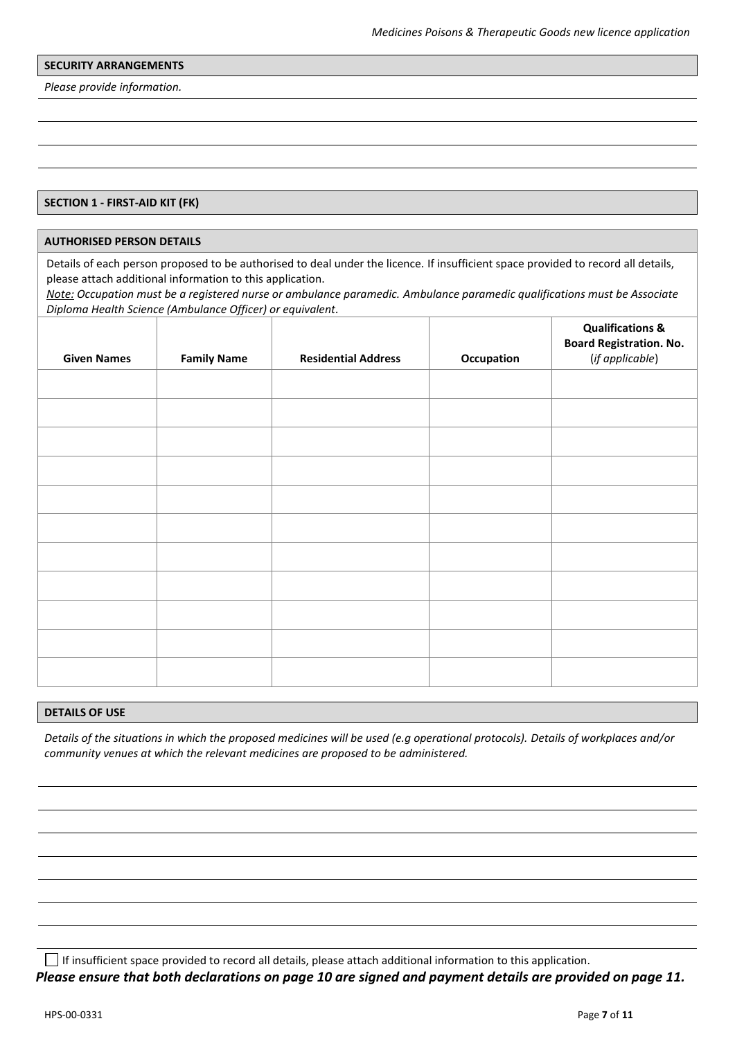#### **SECURITY ARRANGEMENTS**

*Please provide information.*

#### **SECTION 1 - FIRST-AID KIT (FK)**

#### **AUTHORISED PERSON DETAILS**

Details of each person proposed to be authorised to deal under the licence. If insufficient space provided to record all details, please attach additional information to this application.

*Note: Occupation must be a registered nurse or ambulance paramedic. Ambulance paramedic qualifications must be Associate Diploma Health Science (Ambulance Officer) or equivalent.*

| <b>Given Names</b> | <b>Family Name</b> | <b>Residential Address</b> | Occupation | <b>Qualifications &amp;</b><br><b>Board Registration. No.</b><br>(if applicable) |
|--------------------|--------------------|----------------------------|------------|----------------------------------------------------------------------------------|
|                    |                    |                            |            |                                                                                  |
|                    |                    |                            |            |                                                                                  |
|                    |                    |                            |            |                                                                                  |
|                    |                    |                            |            |                                                                                  |
|                    |                    |                            |            |                                                                                  |
|                    |                    |                            |            |                                                                                  |
|                    |                    |                            |            |                                                                                  |
|                    |                    |                            |            |                                                                                  |
|                    |                    |                            |            |                                                                                  |
|                    |                    |                            |            |                                                                                  |
|                    |                    |                            |            |                                                                                  |

#### **DETAILS OF USE**

*Details of the situations in which the proposed medicines will be used (e.g operational protocols). Details of workplaces and/or community venues at which the relevant medicines are proposed to be administered.*

If insufficient space provided to record all details, please attach additional information to this application. *Please ensure that both declarations on page 10 are signed and payment details are provided on page 11.*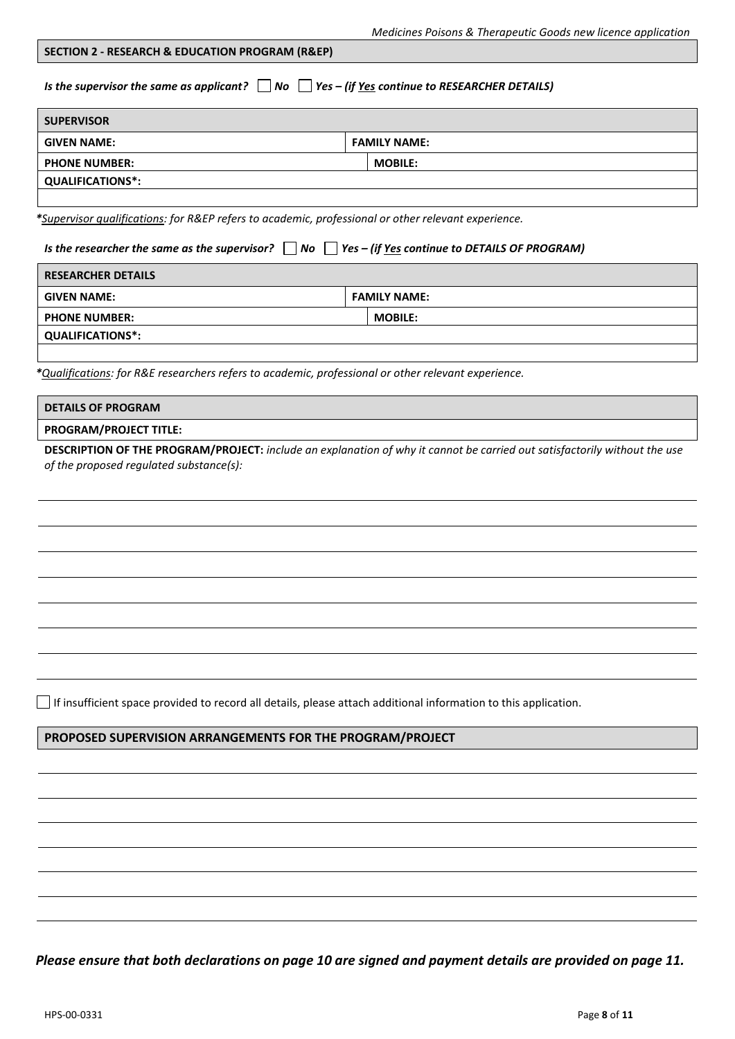#### **SECTION 2 - RESEARCH & EDUCATION PROGRAM (R&EP)**

*Is the supervisor the same as applicant?* ■ No ■ *Yes – (if <u>Yes</u> continue to RESEARCHER DETAILS)* 

| <b>SUPERVISOR</b>       |                     |  |  |  |
|-------------------------|---------------------|--|--|--|
| <b>GIVEN NAME:</b>      | <b>FAMILY NAME:</b> |  |  |  |
| <b>PHONE NUMBER:</b>    | <b>MOBILE:</b>      |  |  |  |
| <b>QUALIFICATIONS*:</b> |                     |  |  |  |
|                         |                     |  |  |  |

*\*Supervisor qualifications: for R&EP refers to academic, professional or other relevant experience.*

*Is the researcher the same as the supervisor? ■ No ■ Yes – (if <u>Yes</u> continue to DETAILS OF PROGRAM)* 

| <b>RESEARCHER DETAILS</b> |                     |  |
|---------------------------|---------------------|--|
| <b>GIVEN NAME:</b>        | <b>FAMILY NAME:</b> |  |
| <b>PHONE NUMBER:</b>      | <b>MOBILE:</b>      |  |
| <b>QUALIFICATIONS*:</b>   |                     |  |
|                           |                     |  |

*\*Qualifications: for R&E researchers refers to academic, professional or other relevant experience.*

| <b>PROGRAM/PROJECT TITLE:</b> |  |
|-------------------------------|--|

**DESCRIPTION OF THE PROGRAM/PROJECT:** *include an explanation of why it cannot be carried out satisfactorily without the use of the proposed regulated substance(s):* 

 $\Box$  If insufficient space provided to record all details, please attach additional information to this application.

# **PROPOSED SUPERVISION ARRANGEMENTS FOR THE PROGRAM/PROJECT**

*Please ensure that both declarations on page 10 are signed and payment details are provided on page 11.*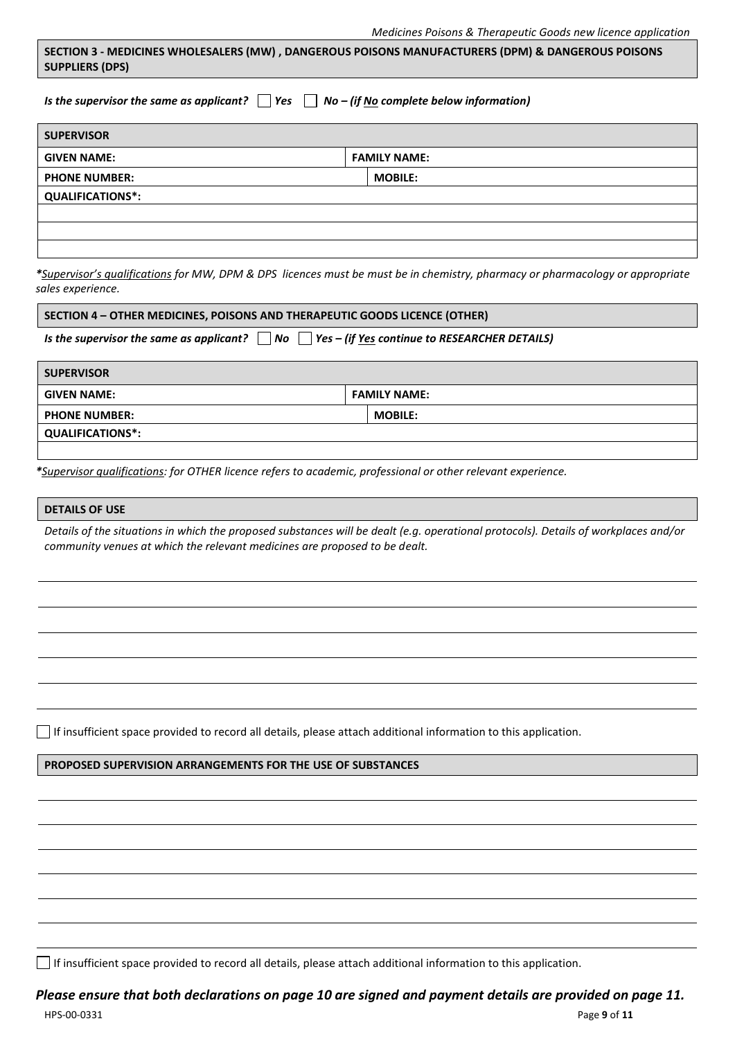|                        | SECTION 3 - MEDICINES WHOLESALERS (MW), DANGEROUS POISONS MANUFACTURERS (DPM) & DANGEROUS POISONS |
|------------------------|---------------------------------------------------------------------------------------------------|
| <b>SUPPLIERS (DPS)</b> |                                                                                                   |

*Is the supervisor the same as applicant? Yes No – (if No complete below information)*

| <b>SUPERVISOR</b>       |                     |  |
|-------------------------|---------------------|--|
| <b>GIVEN NAME:</b>      | <b>FAMILY NAME:</b> |  |
| <b>PHONE NUMBER:</b>    | <b>MOBILE:</b>      |  |
| <b>QUALIFICATIONS*:</b> |                     |  |
|                         |                     |  |
|                         |                     |  |
|                         |                     |  |

*\*Supervisor's qualifications for MW, DPM & DPS licences must be must be in chemistry, pharmacy or pharmacology or appropriate sales experience.*

#### **SECTION 4 – OTHER MEDICINES, POISONS AND THERAPEUTIC GOODS LICENCE (OTHER)**

*Is the supervisor the same as applicant?*  $\Box$  No  $\Box$  Yes – (if <u>Yes</u> continue to RESEARCHER DETAILS)

| <b>SUPERVISOR</b>       |                     |  |
|-------------------------|---------------------|--|
| <b>GIVEN NAME:</b>      | <b>FAMILY NAME:</b> |  |
| <b>PHONE NUMBER:</b>    | <b>MOBILE:</b>      |  |
| <b>QUALIFICATIONS*:</b> |                     |  |
|                         |                     |  |

*\*Supervisor qualifications: for OTHER licence refers to academic, professional or other relevant experience.*

#### **DETAILS OF USE**

*Details of the situations in which the proposed substances will be dealt (e.g. operational protocols). Details of workplaces and/or community venues at which the relevant medicines are proposed to be dealt.*

 $\Box$  If insufficient space provided to record all details, please attach additional information to this application.

#### **PROPOSED SUPERVISION ARRANGEMENTS FOR THE USE OF SUBSTANCES**

If insufficient space provided to record all details, please attach additional information to this application.

# *Please ensure that both declarations on page 10 are signed and payment details are provided on page 11.*

HPS-00-0331 Page **9** of **11**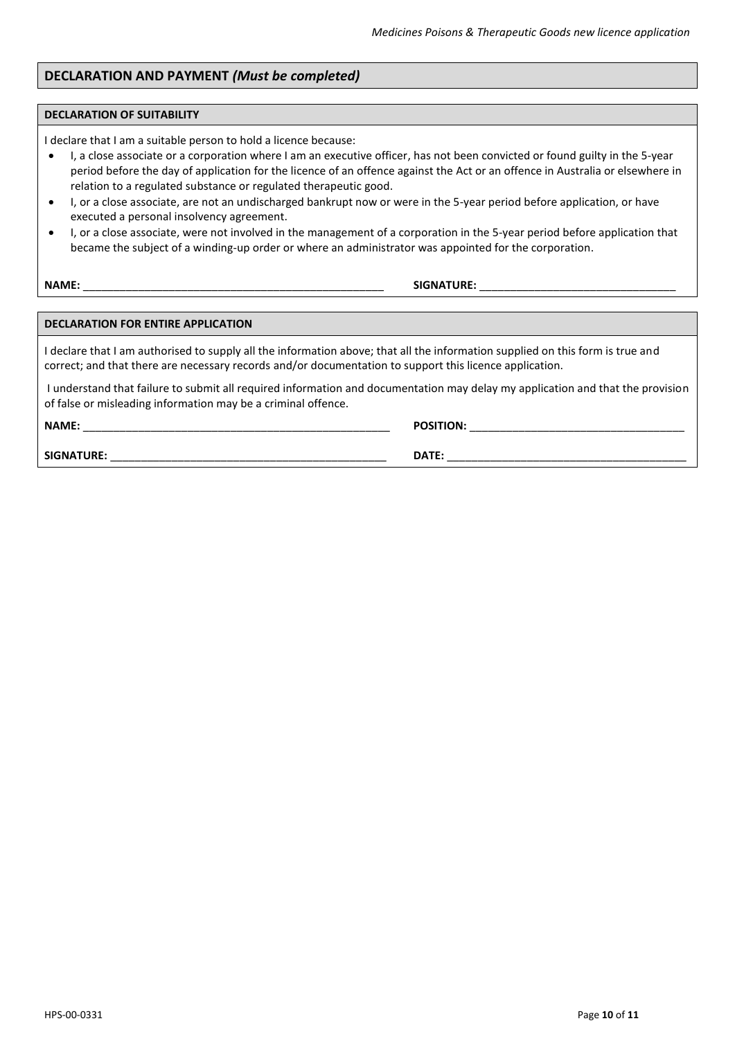# **DECLARATION AND PAYMENT** *(Must be completed)*

#### **DECLARATION OF SUITABILITY**

I declare that I am a suitable person to hold a licence because:

- I, a close associate or a corporation where I am an executive officer, has not been convicted or found guilty in the 5-year period before the day of application for the licence of an offence against the Act or an offence in Australia or elsewhere in relation to a regulated substance or regulated therapeutic good.
- I, or a close associate, are not an undischarged bankrupt now or were in the 5-year period before application, or have executed a personal insolvency agreement.
- I, or a close associate, were not involved in the management of a corporation in the 5-year period before application that became the subject of a winding-up order or where an administrator was appointed for the corporation.

**NAME:** \_\_\_\_\_\_\_\_\_\_\_\_\_\_\_\_\_\_\_\_\_\_\_\_\_\_\_\_\_\_\_\_\_\_\_\_\_\_\_\_\_\_\_\_\_\_\_\_\_ **SIGNATURE:** \_\_\_\_\_\_\_\_\_\_\_\_\_\_\_\_\_\_\_\_\_\_\_\_\_\_\_\_\_\_\_\_

#### **DECLARATION FOR ENTIRE APPLICATION**

I declare that I am authorised to supply all the information above; that all the information supplied on this form is true and correct; and that there are necessary records and/or documentation to support this licence application.

I understand that failure to submit all required information and documentation may delay my application and that the provision of false or misleading information may be a criminal offence.

**NAME:** \_\_\_\_\_\_\_\_\_\_\_\_\_\_\_\_\_\_\_\_\_\_\_\_\_\_\_\_\_\_\_\_\_\_\_\_\_\_\_\_\_\_\_\_\_\_\_\_\_\_ **POSITION:** \_\_\_\_\_\_\_\_\_\_\_\_\_\_\_\_\_\_\_\_\_\_\_\_\_\_\_\_\_\_\_\_\_\_\_

**SIGNATURE:** \_\_\_\_\_\_\_\_\_\_\_\_\_\_\_\_\_\_\_\_\_\_\_\_\_\_\_\_\_\_\_\_\_\_\_\_\_\_\_\_\_\_\_\_\_ **DATE:** \_\_\_\_\_\_\_\_\_\_\_\_\_\_\_\_\_\_\_\_\_\_\_\_\_\_\_\_\_\_\_\_\_\_\_\_\_\_\_